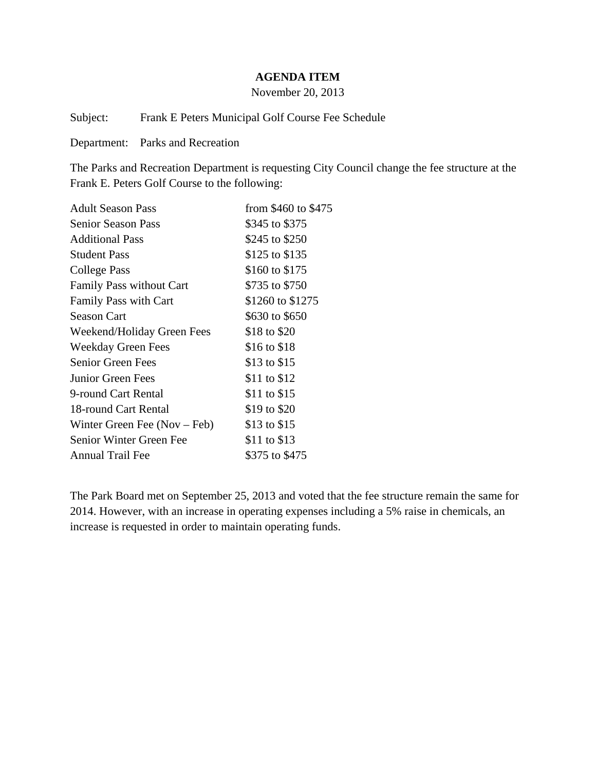#### **AGENDA ITEM**

November 20, 2013

Subject: Frank E Peters Municipal Golf Course Fee Schedule

Department: Parks and Recreation

The Parks and Recreation Department is requesting City Council change the fee structure at the Frank E. Peters Golf Course to the following:

| <b>Adult Season Pass</b>        | from \$460 to \$475 |
|---------------------------------|---------------------|
| <b>Senior Season Pass</b>       | \$345 to \$375      |
| <b>Additional Pass</b>          | \$245 to \$250      |
| <b>Student Pass</b>             | \$125 to \$135      |
| College Pass                    | \$160 to \$175      |
| <b>Family Pass without Cart</b> | \$735 to \$750      |
| Family Pass with Cart           | \$1260 to \$1275    |
| <b>Season Cart</b>              | \$630 to \$650      |
| Weekend/Holiday Green Fees      | \$18 to \$20        |
| <b>Weekday Green Fees</b>       | \$16 to \$18        |
| Senior Green Fees               | \$13 to \$15        |
| Junior Green Fees               | \$11 to \$12        |
| 9-round Cart Rental             | \$11 to \$15        |
| 18-round Cart Rental            | \$19 to \$20        |
| Winter Green Fee $(Nov - Feb)$  | \$13 to \$15        |
| Senior Winter Green Fee         | \$11 to \$13        |
| <b>Annual Trail Fee</b>         | \$375 to \$475      |

The Park Board met on September 25, 2013 and voted that the fee structure remain the same for 2014. However, with an increase in operating expenses including a 5% raise in chemicals, an increase is requested in order to maintain operating funds.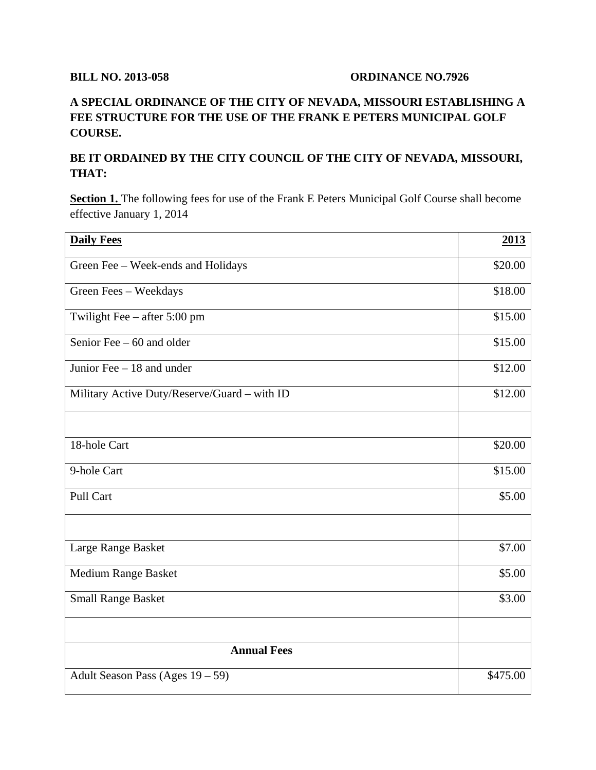### **BILL NO. 2013-058 ORDINANCE NO.7926**

# **A SPECIAL ORDINANCE OF THE CITY OF NEVADA, MISSOURI ESTABLISHING A FEE STRUCTURE FOR THE USE OF THE FRANK E PETERS MUNICIPAL GOLF COURSE.**

## **BE IT ORDAINED BY THE CITY COUNCIL OF THE CITY OF NEVADA, MISSOURI, THAT:**

Section 1. The following fees for use of the Frank E Peters Municipal Golf Course shall become effective January 1, 2014

| <b>Daily Fees</b>                            | 2013     |
|----------------------------------------------|----------|
| Green Fee - Week-ends and Holidays           | \$20.00  |
| Green Fees - Weekdays                        | \$18.00  |
| Twilight Fee - after 5:00 pm                 | \$15.00  |
| Senior Fee $-60$ and older                   | \$15.00  |
| Junior Fee $-18$ and under                   | \$12.00  |
| Military Active Duty/Reserve/Guard - with ID | \$12.00  |
|                                              |          |
| 18-hole Cart                                 | \$20.00  |
| 9-hole Cart                                  | \$15.00  |
| Pull Cart                                    | \$5.00   |
|                                              |          |
| Large Range Basket                           | \$7.00   |
| <b>Medium Range Basket</b>                   | \$5.00   |
| <b>Small Range Basket</b>                    | \$3.00   |
|                                              |          |
| <b>Annual Fees</b>                           |          |
| Adult Season Pass (Ages 19 - 59)             | \$475.00 |